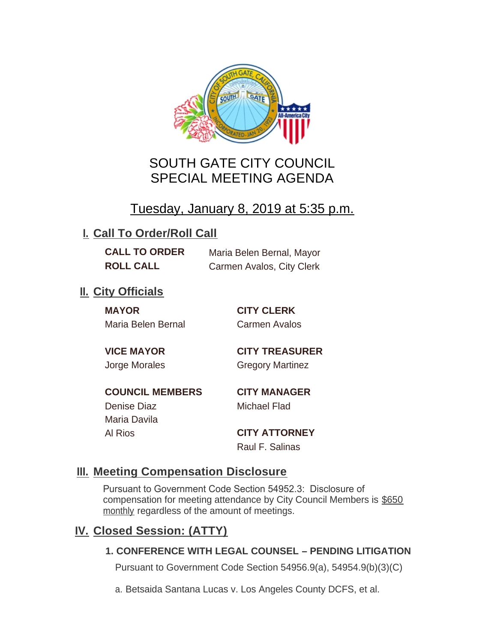

# SOUTH GATE CITY COUNCIL SPECIAL MEETING AGENDA

# Tuesday, January 8, 2019 at 5:35 p.m.

## **I. Call To Order/Roll Call**

**CALL TO ORDER** Maria Belen Bernal, Mayor **ROLL CALL** Carmen Avalos, City Clerk

## **II.** City Officials

**MAYOR CITY CLERK** Maria Belen Bernal Carmen Avalos

**VICE MAYOR CITY TREASURER** Jorge Morales Gregory Martinez

**COUNCIL MEMBERS CITY MANAGER** Denise Diaz Michael Flad Maria Davila

Al Rios **CITY ATTORNEY**

Raul F. Salinas

### **Meeting Compensation Disclosure III.**

Pursuant to Government Code Section 54952.3: Disclosure of compensation for meeting attendance by City Council Members is \$650 monthly regardless of the amount of meetings.

### **Closed Session: (ATTY) IV.**

### **1. CONFERENCE WITH LEGAL COUNSEL – PENDING LITIGATION**

Pursuant to Government Code Section 54956.9(a), 54954.9(b)(3)(C)

a. Betsaida Santana Lucas v. Los Angeles County DCFS, et al.